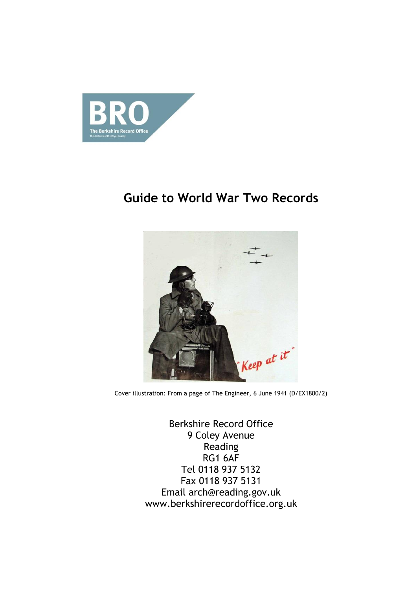

# **Guide to World War Two Records**



Cover illustration: From a page of The Engineer, 6 June 1941 (D/EX1800/2)

Berkshire Record Office 9 Coley Avenue Reading RG1 6AF Tel 0118 937 5132 Fax 0118 937 5131 Email arch@reading.gov.uk www.berkshirerecordoffice.org.uk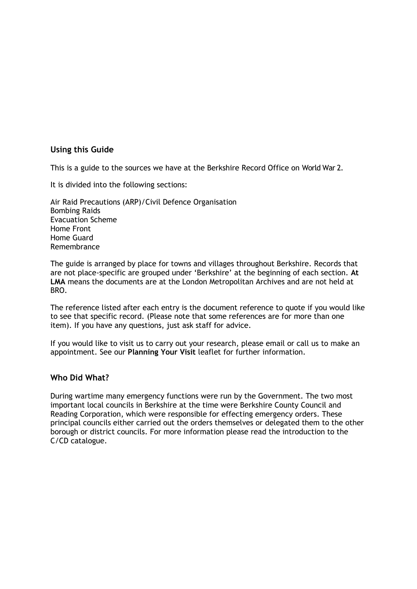### **Using this Guide**

This is a guide to the sources we have at the Berkshire Record Office on World War 2.

It is divided into the following sections:

Air Raid Precautions (ARP)/Civil Defence Organisation Bombing Raids Evacuation Scheme Home Front Home Guard Remembrance

The guide is arranged by place for towns and villages throughout Berkshire. Records that are not place-specific are grouped under 'Berkshire' at the beginning of each section. **At LMA** means the documents are at the London Metropolitan Archives and are not held at BRO.

The reference listed after each entry is the document reference to quote if you would like to see that specific record. (Please note that some references are for more than one item). If you have any questions, just ask staff for advice.

If you would like to visit us to carry out your research, please email or call us to make an appointment. See our **Planning Your Visit** leaflet for further information.

### **Who Did What?**

During wartime many emergency functions were run by the Government. The two most important local councils in Berkshire at the time were Berkshire County Council and Reading Corporation, which were responsible for effecting emergency orders. These principal councils either carried out the orders themselves or delegated them to the other borough or district councils. For more information please read the introduction to the C/CD catalogue.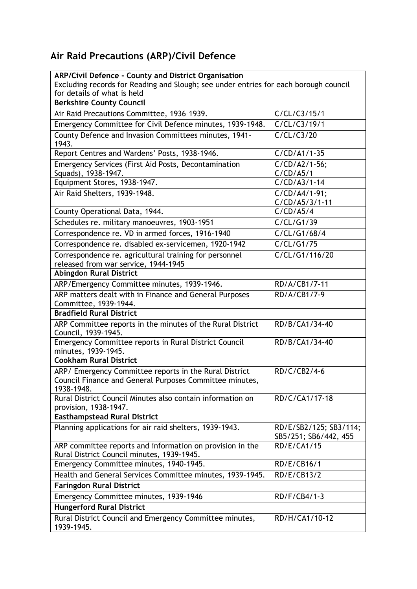# **Air Raid Precautions (ARP)/Civil Defence**

| <b>ARP/Civil Defence - County and District Organisation</b>                                                                     |                                                 |
|---------------------------------------------------------------------------------------------------------------------------------|-------------------------------------------------|
| Excluding records for Reading and Slough; see under entries for each borough council<br>for details of what is held             |                                                 |
| <b>Berkshire County Council</b>                                                                                                 |                                                 |
| Air Raid Precautions Committee, 1936-1939.                                                                                      | C/CL/C3/15/1                                    |
| Emergency Committee for Civil Defence minutes, 1939-1948.                                                                       | C/CL/C3/19/1                                    |
| County Defence and Invasion Committees minutes, 1941-<br>1943.                                                                  | C/CL/C3/20                                      |
| Report Centres and Wardens' Posts, 1938-1946.                                                                                   | $C/CD/A1/1-35$                                  |
| Emergency Services (First Aid Posts, Decontamination<br>Squads), 1938-1947.                                                     | $C/CD/AD/1-56;$<br>C/CD/AB/1                    |
| Equipment Stores, 1938-1947.                                                                                                    | $C/CD/AA/1-14$                                  |
| Air Raid Shelters, 1939-1948.                                                                                                   | C/CD/A4/1-91;<br>C/CD/A5/3/1-11                 |
| County Operational Data, 1944.                                                                                                  | C/CD/AS/4                                       |
| Schedules re. military manoeuvres, 1903-1951                                                                                    | C/CL/G1/39                                      |
| Correspondence re. VD in armed forces, 1916-1940                                                                                | C/CL/G1/68/4                                    |
| Correspondence re. disabled ex-servicemen, 1920-1942                                                                            | C/CL/G1/75                                      |
| Correspondence re. agricultural training for personnel<br>released from war service, 1944-1945                                  | C/CL/G1/116/20                                  |
| <b>Abingdon Rural District</b>                                                                                                  |                                                 |
| ARP/Emergency Committee minutes, 1939-1946.                                                                                     | RD/A/CB1/7-11                                   |
| ARP matters dealt with in Finance and General Purposes<br>Committee, 1939-1944.                                                 | RD/A/CB1/7-9                                    |
| <b>Bradfield Rural District</b>                                                                                                 |                                                 |
| ARP Committee reports in the minutes of the Rural District<br>Council, 1939-1945.                                               | RD/B/CA1/34-40                                  |
| Emergency Committee reports in Rural District Council<br>minutes, 1939-1945.                                                    | RD/B/CA1/34-40                                  |
| <b>Cookham Rural District</b>                                                                                                   |                                                 |
| ARP/ Emergency Committee reports in the Rural District<br>Council Finance and General Purposes Committee minutes,<br>1938-1948. | RD/C/CB2/4-6                                    |
| Rural District Council Minutes also contain information on<br>provision, 1938-1947.                                             | RD/C/CA1/17-18                                  |
| <b>Easthampstead Rural District</b>                                                                                             |                                                 |
| Planning applications for air raid shelters, 1939-1943.                                                                         | RD/E/SB2/125; SB3/114;<br>SB5/251; SB6/442, 455 |
| ARP committee reports and information on provision in the<br>Rural District Council minutes, 1939-1945.                         | <b>RD/E/CA1/15</b>                              |
| Emergency Committee minutes, 1940-1945.                                                                                         | RD/E/CB16/1                                     |
| Health and General Services Committee minutes, 1939-1945.                                                                       | RD/E/CB13/2                                     |
| <b>Faringdon Rural District</b>                                                                                                 |                                                 |
| Emergency Committee minutes, 1939-1946                                                                                          | RD/F/CB4/1-3                                    |
| <b>Hungerford Rural District</b>                                                                                                |                                                 |
| Rural District Council and Emergency Committee minutes,<br>1939-1945.                                                           | RD/H/CA1/10-12                                  |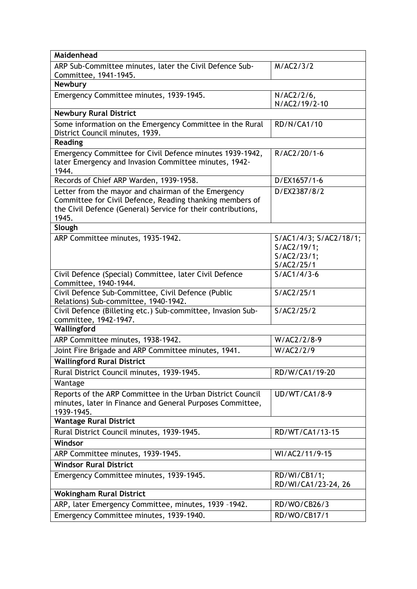| Maidenhead                                                                                                                                                                               |                                                                    |
|------------------------------------------------------------------------------------------------------------------------------------------------------------------------------------------|--------------------------------------------------------------------|
| ARP Sub-Committee minutes, later the Civil Defence Sub-<br>Committee, 1941-1945.                                                                                                         | M/AC2/3/2                                                          |
| <b>Newbury</b>                                                                                                                                                                           |                                                                    |
| Emergency Committee minutes, 1939-1945.                                                                                                                                                  | N/AC2/2/6,<br>N/AC2/19/2-10                                        |
| <b>Newbury Rural District</b>                                                                                                                                                            |                                                                    |
| Some information on the Emergency Committee in the Rural<br>District Council minutes, 1939.                                                                                              | <b>RD/N/CA1/10</b>                                                 |
| <b>Reading</b>                                                                                                                                                                           |                                                                    |
| Emergency Committee for Civil Defence minutes 1939-1942,<br>later Emergency and Invasion Committee minutes, 1942-<br>1944.                                                               | R/AC2/20/1-6                                                       |
| Records of Chief ARP Warden, 1939-1958.                                                                                                                                                  | D/EX1657/1-6                                                       |
| Letter from the mayor and chairman of the Emergency<br>Committee for Civil Defence, Reading thanking members of<br>the Civil Defence (General) Service for their contributions,<br>1945. | D/EX2387/8/2                                                       |
| Slough                                                                                                                                                                                   |                                                                    |
| ARP Committee minutes, 1935-1942.                                                                                                                                                        | S/AC1/4/3; S/AC2/18/1;<br>S/AC2/19/1;<br>S/AC2/23/1;<br>S/AC2/25/1 |
| Civil Defence (Special) Committee, later Civil Defence<br>Committee, 1940-1944.                                                                                                          | $S/AC1/4/3-6$                                                      |
| Civil Defence Sub-Committee, Civil Defence (Public<br>Relations) Sub-committee, 1940-1942.                                                                                               | S/AC2/25/1                                                         |
| Civil Defence (Billeting etc.) Sub-committee, Invasion Sub-<br>committee, 1942-1947.                                                                                                     | S/AC2/25/2                                                         |
| Wallingford                                                                                                                                                                              |                                                                    |
| ARP Committee minutes, 1938-1942.                                                                                                                                                        | W/AC2/2/8-9                                                        |
| Joint Fire Brigade and ARP Committee minutes, 1941.                                                                                                                                      | W/AC2/2/9                                                          |
| <b>Wallingford Rural District</b>                                                                                                                                                        |                                                                    |
| Rural District Council minutes, 1939-1945.                                                                                                                                               | RD/W/CA1/19-20                                                     |
| Wantage                                                                                                                                                                                  |                                                                    |
| Reports of the ARP Committee in the Urban District Council<br>minutes, later in Finance and General Purposes Committee,<br>1939-1945.                                                    | <b>UD/WT/CA1/8-9</b>                                               |
| <b>Wantage Rural District</b>                                                                                                                                                            |                                                                    |
| Rural District Council minutes, 1939-1945.                                                                                                                                               | RD/WT/CA1/13-15                                                    |
| Windsor                                                                                                                                                                                  |                                                                    |
| ARP Committee minutes, 1939-1945.                                                                                                                                                        | WI/AC2/11/9-15                                                     |
| <b>Windsor Rural District</b>                                                                                                                                                            |                                                                    |
| Emergency Committee minutes, 1939-1945.                                                                                                                                                  | RD/WI/CB1/1;<br>RD/WI/CA1/23-24, 26                                |
| <b>Wokingham Rural District</b>                                                                                                                                                          |                                                                    |
| ARP, later Emergency Committee, minutes, 1939 -1942.                                                                                                                                     | RD/WO/CB26/3                                                       |
| Emergency Committee minutes, 1939-1940.                                                                                                                                                  | RD/WO/CB17/1                                                       |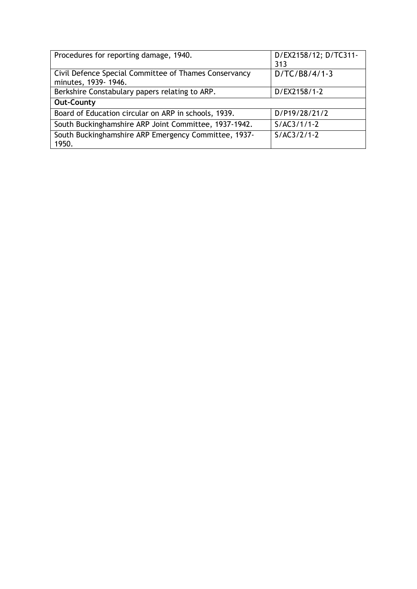| Procedures for reporting damage, 1940.                                       | D/EX2158/12; D/TC311-<br>313 |
|------------------------------------------------------------------------------|------------------------------|
| Civil Defence Special Committee of Thames Conservancy<br>minutes, 1939-1946. | $D/TC/B8/4/1-3$              |
| Berkshire Constabulary papers relating to ARP.                               | D/EX2158/1-2                 |
| <b>Out-County</b>                                                            |                              |
| Board of Education circular on ARP in schools, 1939.                         | D/P19/28/21/2                |
| South Buckinghamshire ARP Joint Committee, 1937-1942.                        | $S/AC3/1/1-2$                |
| South Buckinghamshire ARP Emergency Committee, 1937-<br>1950.                | $S/AC3/2/1-2$                |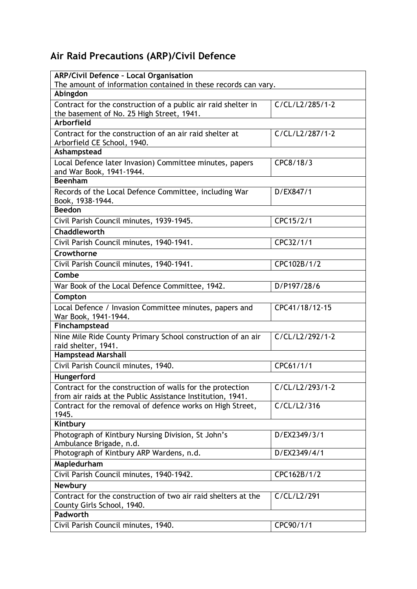# **Air Raid Precautions (ARP)/Civil Defence**

| <b>ARP/Civil Defence - Local Organisation</b>                                                                           |                 |
|-------------------------------------------------------------------------------------------------------------------------|-----------------|
| The amount of information contained in these records can vary.                                                          |                 |
| Abingdon                                                                                                                |                 |
| Contract for the construction of a public air raid shelter in                                                           | C/CL/L2/285/1-2 |
| the basement of No. 25 High Street, 1941.                                                                               |                 |
| Arborfield                                                                                                              |                 |
| Contract for the construction of an air raid shelter at<br>Arborfield CE School, 1940.                                  | C/CL/L2/287/1-2 |
| Ashampstead                                                                                                             |                 |
| Local Defence later Invasion) Committee minutes, papers                                                                 | CPC8/18/3       |
| and War Book, 1941-1944.                                                                                                |                 |
| <b>Beenham</b>                                                                                                          |                 |
| Records of the Local Defence Committee, including War<br>Book, 1938-1944.                                               | D/EX847/1       |
| <b>Beedon</b>                                                                                                           |                 |
| Civil Parish Council minutes, 1939-1945.                                                                                | CPC15/2/1       |
| Chaddleworth                                                                                                            |                 |
| Civil Parish Council minutes, 1940-1941.                                                                                | CPC32/1/1       |
| Crowthorne                                                                                                              |                 |
| Civil Parish Council minutes, 1940-1941.                                                                                | CPC102B/1/2     |
| Combe                                                                                                                   |                 |
| War Book of the Local Defence Committee, 1942.                                                                          | D/P197/28/6     |
| Compton                                                                                                                 |                 |
| Local Defence / Invasion Committee minutes, papers and                                                                  | CPC41/18/12-15  |
| War Book, 1941-1944.                                                                                                    |                 |
| Finchampstead                                                                                                           |                 |
| Nine Mile Ride County Primary School construction of an air                                                             | C/CL/L2/292/1-2 |
| raid shelter, 1941.                                                                                                     |                 |
| <b>Hampstead Marshall</b>                                                                                               |                 |
| Civil Parish Council minutes, 1940.                                                                                     | CPC61/1/1       |
| Hungerford                                                                                                              |                 |
| Contract for the construction of walls for the protection<br>from air raids at the Public Assistance Institution, 1941. | C/CL/L2/293/1-2 |
| Contract for the removal of defence works on High Street,<br>1945.                                                      | C/CL/L2/316     |
| Kintbury                                                                                                                |                 |
| Photograph of Kintbury Nursing Division, St John's                                                                      | D/EX2349/3/1    |
| Ambulance Brigade, n.d.                                                                                                 |                 |
| Photograph of Kintbury ARP Wardens, n.d.                                                                                | D/EX2349/4/1    |
| Mapledurham                                                                                                             |                 |
| Civil Parish Council minutes, 1940-1942.                                                                                | CPC162B/1/2     |
| <b>Newbury</b>                                                                                                          |                 |
| Contract for the construction of two air raid shelters at the<br>County Girls School, 1940.                             | C/CL/L2/291     |
| Padworth                                                                                                                |                 |
| Civil Parish Council minutes, 1940.                                                                                     | CPC90/1/1       |
|                                                                                                                         |                 |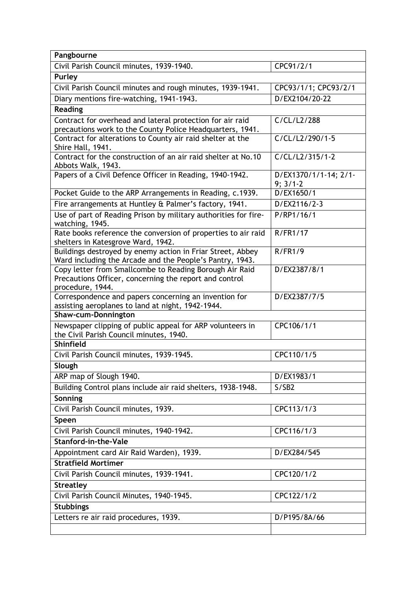| Pangbourne                                                                                                                            |                                     |
|---------------------------------------------------------------------------------------------------------------------------------------|-------------------------------------|
| Civil Parish Council minutes, 1939-1940.                                                                                              | CPC91/2/1                           |
| Purley                                                                                                                                |                                     |
| Civil Parish Council minutes and rough minutes, 1939-1941.                                                                            | CPC93/1/1; CPC93/2/1                |
| Diary mentions fire-watching, 1941-1943.                                                                                              | D/EX2104/20-22                      |
| <b>Reading</b>                                                                                                                        |                                     |
| Contract for overhead and lateral protection for air raid                                                                             | C/CL/L2/288                         |
| precautions work to the County Police Headquarters, 1941.                                                                             |                                     |
| Contract for alterations to County air raid shelter at the<br>Shire Hall, 1941.                                                       | C/CL/L2/290/1-5                     |
| Contract for the construction of an air raid shelter at No.10<br>Abbots Walk, 1943.                                                   | C/CL/L2/315/1-2                     |
| Papers of a Civil Defence Officer in Reading, 1940-1942.                                                                              | D/EX1370/1/1-14; 2/1-<br>$9; 3/1-2$ |
| Pocket Guide to the ARP Arrangements in Reading, c.1939.                                                                              | D/EX1650/1                          |
| Fire arrangements at Huntley & Palmer's factory, 1941.                                                                                | D/EX2116/2-3                        |
| Use of part of Reading Prison by military authorities for fire-<br>watching, 1945.                                                    | P/RP1/16/1                          |
| Rate books reference the conversion of properties to air raid<br>shelters in Katesgrove Ward, 1942.                                   | R/FR1/17                            |
| Buildings destroyed by enemy action in Friar Street, Abbey<br>Ward including the Arcade and the People's Pantry, 1943.                | R/FR1/9                             |
| Copy letter from Smallcombe to Reading Borough Air Raid<br>Precautions Officer, concerning the report and control<br>procedure, 1944. | D/EX2387/8/1                        |
| Correspondence and papers concerning an invention for<br>assisting aeroplanes to land at night, 1942-1944.                            | D/EX2387/7/5                        |
| <b>Shaw-cum-Donnington</b>                                                                                                            |                                     |
| Newspaper clipping of public appeal for ARP volunteers in<br>the Civil Parish Council minutes, 1940.                                  | CPC106/1/1                          |
| <b>Shinfield</b>                                                                                                                      |                                     |
| Civil Parish Council minutes, 1939-1945.                                                                                              | CPC110/1/5                          |
| Slough                                                                                                                                |                                     |
| ARP map of Slough 1940.                                                                                                               | D/EX1983/1                          |
| Building Control plans include air raid shelters, 1938-1948.                                                                          | S/SB2                               |
| Sonning                                                                                                                               |                                     |
| Civil Parish Council minutes, 1939.                                                                                                   | CPC113/1/3                          |
| Speen                                                                                                                                 |                                     |
| Civil Parish Council minutes, 1940-1942.                                                                                              | CPC116/1/3                          |
| Stanford-in-the-Vale                                                                                                                  |                                     |
| Appointment card Air Raid Warden), 1939.                                                                                              | D/EX284/545                         |
| <b>Stratfield Mortimer</b>                                                                                                            |                                     |
| Civil Parish Council minutes, 1939-1941.                                                                                              | CPC120/1/2                          |
| <b>Streatley</b>                                                                                                                      |                                     |
| Civil Parish Council Minutes, 1940-1945.                                                                                              | CPC122/1/2                          |
| <b>Stubbings</b>                                                                                                                      |                                     |
| Letters re air raid procedures, 1939.                                                                                                 | D/P195/8A/66                        |
|                                                                                                                                       |                                     |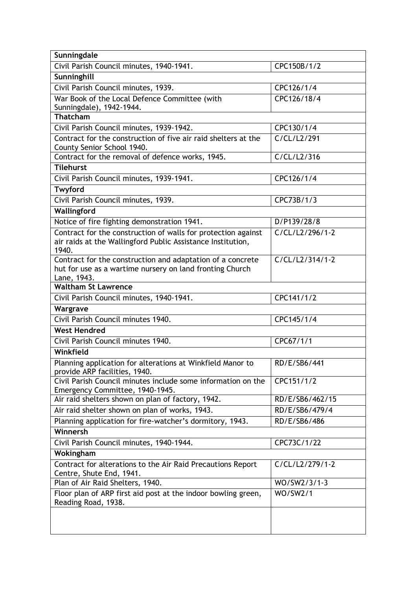| Sunningdale                                                                                     |                 |
|-------------------------------------------------------------------------------------------------|-----------------|
| Civil Parish Council minutes, 1940-1941.                                                        | CPC150B/1/2     |
| Sunninghill                                                                                     |                 |
| Civil Parish Council minutes, 1939.                                                             | CPC126/1/4      |
| War Book of the Local Defence Committee (with                                                   | CPC126/18/4     |
| Sunningdale), 1942-1944.                                                                        |                 |
| Thatcham                                                                                        |                 |
| Civil Parish Council minutes, 1939-1942.                                                        | CPC130/1/4      |
| Contract for the construction of five air raid shelters at the<br>County Senior School 1940.    | C/CL/L2/291     |
| Contract for the removal of defence works, 1945.                                                | C/CL/L2/316     |
| Tilehurst                                                                                       |                 |
| Civil Parish Council minutes, 1939-1941.                                                        | CPC126/1/4      |
| Twyford                                                                                         |                 |
| Civil Parish Council minutes, 1939.                                                             | CPC73B/1/3      |
| Wallingford                                                                                     |                 |
| Notice of fire fighting demonstration 1941.                                                     | D/P139/28/8     |
| Contract for the construction of walls for protection against                                   | C/CL/L2/296/1-2 |
| air raids at the Wallingford Public Assistance Institution,                                     |                 |
| 1940.                                                                                           |                 |
| Contract for the construction and adaptation of a concrete                                      | C/CL/L2/314/1-2 |
| hut for use as a wartime nursery on land fronting Church<br>Lane, 1943.                         |                 |
| <b>Waltham St Lawrence</b>                                                                      |                 |
| Civil Parish Council minutes, 1940-1941.                                                        | CPC141/1/2      |
| Wargrave                                                                                        |                 |
| Civil Parish Council minutes 1940.                                                              | CPC145/1/4      |
| <b>West Hendred</b>                                                                             |                 |
| Civil Parish Council minutes 1940.                                                              | CPC67/1/1       |
| Winkfield                                                                                       |                 |
| Planning application for alterations at Winkfield Manor to                                      | RD/E/SB6/441    |
| provide ARP facilities, 1940.                                                                   |                 |
| Civil Parish Council minutes include some information on the<br>Emergency Committee, 1940-1945. | CPC151/1/2      |
| Air raid shelters shown on plan of factory, 1942.                                               | RD/E/SB6/462/15 |
| Air raid shelter shown on plan of works, 1943.                                                  | RD/E/SB6/479/4  |
| Planning application for fire-watcher's dormitory, 1943.                                        | RD/E/SB6/486    |
| Winnersh                                                                                        |                 |
| Civil Parish Council minutes, 1940-1944.                                                        | CPC73C/1/22     |
| Wokingham                                                                                       |                 |
| Contract for alterations to the Air Raid Precautions Report                                     | C/CL/L2/279/1-2 |
| Centre, Shute End, 1941.                                                                        |                 |
| Plan of Air Raid Shelters, 1940.                                                                | WO/SW2/3/1-3    |
| Floor plan of ARP first aid post at the indoor bowling green,                                   | WO/SW2/1        |
| Reading Road, 1938.                                                                             |                 |
|                                                                                                 |                 |
|                                                                                                 |                 |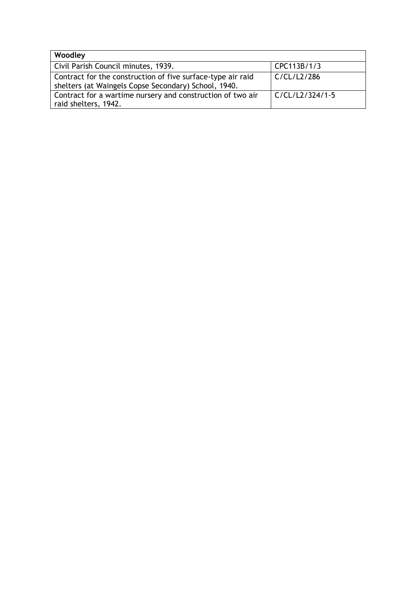| Woodley                                                                                                             |                   |
|---------------------------------------------------------------------------------------------------------------------|-------------------|
| Civil Parish Council minutes, 1939.                                                                                 | CPC113B/1/3       |
| Contract for the construction of five surface-type air raid<br>shelters (at Waingels Copse Secondary) School, 1940. | C/CL/L2/286       |
| Contract for a wartime nursery and construction of two air<br>raid shelters, 1942.                                  | $C/CL/L2/324/1-5$ |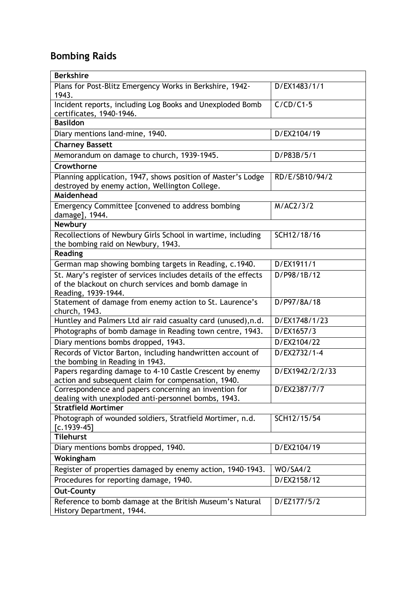## **Bombing Raids**

| <b>Berkshire</b>                                                                                                                                |                 |
|-------------------------------------------------------------------------------------------------------------------------------------------------|-----------------|
| Plans for Post-Blitz Emergency Works in Berkshire, 1942-<br>1943.                                                                               | D/EX1483/1/1    |
| Incident reports, including Log Books and Unexploded Bomb<br>certificates, 1940-1946.                                                           | $C/CD/C1-5$     |
| <b>Basildon</b>                                                                                                                                 |                 |
| Diary mentions land-mine, 1940.                                                                                                                 | D/EX2104/19     |
| <b>Charney Bassett</b>                                                                                                                          |                 |
| Memorandum on damage to church, 1939-1945.                                                                                                      | D/P83B/5/1      |
| Crowthorne                                                                                                                                      |                 |
| Planning application, 1947, shows position of Master's Lodge<br>destroyed by enemy action, Wellington College.<br>Maidenhead                    | RD/E/SB10/94/2  |
| Emergency Committee [convened to address bombing<br>damage], 1944.                                                                              | M/AC2/3/2       |
| <b>Newbury</b>                                                                                                                                  |                 |
| Recollections of Newbury Girls School in wartime, including<br>the bombing raid on Newbury, 1943.                                               | SCH12/18/16     |
| <b>Reading</b>                                                                                                                                  |                 |
| German map showing bombing targets in Reading, c.1940.                                                                                          | D/EX1911/1      |
| St. Mary's register of services includes details of the effects<br>of the blackout on church services and bomb damage in<br>Reading, 1939-1944. | D/P98/1B/12     |
| Statement of damage from enemy action to St. Laurence's<br>church, 1943.                                                                        | D/P97/8A/18     |
| Huntley and Palmers Ltd air raid casualty card (unused), n.d.                                                                                   | D/EX1748/1/23   |
| Photographs of bomb damage in Reading town centre, 1943.                                                                                        | D/EX1657/3      |
| Diary mentions bombs dropped, 1943.                                                                                                             | D/EX2104/22     |
| Records of Victor Barton, including handwritten account of<br>the bombing in Reading in 1943.                                                   | D/EX2732/1-4    |
| Papers regarding damage to 4-10 Castle Crescent by enemy<br>action and subsequent claim for compensation, 1940.                                 | D/EX1942/2/2/33 |
| Correspondence and papers concerning an invention for<br>dealing with unexploded anti-personnel bombs, 1943.                                    | D/EX2387/7/7    |
| <b>Stratfield Mortimer</b>                                                                                                                      |                 |
| Photograph of wounded soldiers, Stratfield Mortimer, n.d.<br>$[c.1939-45]$                                                                      | SCH12/15/54     |
| <b>Tilehurst</b>                                                                                                                                |                 |
| Diary mentions bombs dropped, 1940.                                                                                                             | D/EX2104/19     |
| Wokingham                                                                                                                                       |                 |
| Register of properties damaged by enemy action, 1940-1943.                                                                                      | <b>WO/SA4/2</b> |
| Procedures for reporting damage, 1940.                                                                                                          | D/EX2158/12     |
| <b>Out-County</b>                                                                                                                               |                 |
| Reference to bomb damage at the British Museum's Natural<br>History Department, 1944.                                                           | D/EZ177/5/2     |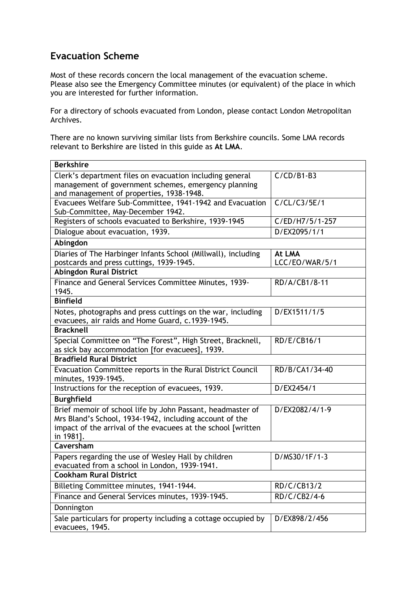### **Evacuation Scheme**

Most of these records concern the local management of the evacuation scheme. Please also see the Emergency Committee minutes (or equivalent) of the place in which you are interested for further information.

For a directory of schools evacuated from London, please contact London Metropolitan Archives.

There are no known surviving similar lists from Berkshire councils. Some LMA records relevant to Berkshire are listed in this guide as **At LMA**.

| <b>Berkshire</b>                                                                                                                                                                                    |                          |
|-----------------------------------------------------------------------------------------------------------------------------------------------------------------------------------------------------|--------------------------|
| Clerk's department files on evacuation including general<br>management of government schemes, emergency planning<br>and management of properties, 1938-1948.                                        | $C/CD/B1-B3$             |
| Evacuees Welfare Sub-Committee, 1941-1942 and Evacuation<br>Sub-Committee, May-December 1942.                                                                                                       | C/CL/C3/5E/1             |
| Registers of schools evacuated to Berkshire, 1939-1945                                                                                                                                              | C/ED/H7/5/1-257          |
| Dialogue about evacuation, 1939.                                                                                                                                                                    | D/EX2095/1/1             |
| Abingdon                                                                                                                                                                                            |                          |
| Diaries of The Harbinger Infants School (Millwall), including<br>postcards and press cuttings, 1939-1945.                                                                                           | At LMA<br>LCC/EO/WAR/5/1 |
| <b>Abingdon Rural District</b>                                                                                                                                                                      |                          |
| Finance and General Services Committee Minutes, 1939-<br>1945.                                                                                                                                      | RD/A/CB1/8-11            |
| <b>Binfield</b>                                                                                                                                                                                     |                          |
| Notes, photographs and press cuttings on the war, including<br>evacuees, air raids and Home Guard, c.1939-1945.                                                                                     | D/EX1511/1/5             |
| <b>Bracknell</b>                                                                                                                                                                                    |                          |
| Special Committee on "The Forest", High Street, Bracknell,<br>as sick bay accommodation [for evacuees], 1939.                                                                                       | RD/E/CB16/1              |
| <b>Bradfield Rural District</b>                                                                                                                                                                     |                          |
| Evacuation Committee reports in the Rural District Council<br>minutes, 1939-1945.                                                                                                                   | RD/B/CA1/34-40           |
| Instructions for the reception of evacuees, 1939.                                                                                                                                                   | D/EX2454/1               |
| <b>Burghfield</b>                                                                                                                                                                                   |                          |
| Brief memoir of school life by John Passant, headmaster of<br>Mrs Bland's School, 1934-1942, including account of the<br>impact of the arrival of the evacuees at the school [written]<br>in 1981]. | D/EX2082/4/1-9           |
| Caversham                                                                                                                                                                                           |                          |
| Papers regarding the use of Wesley Hall by children<br>evacuated from a school in London, 1939-1941.                                                                                                | D/MS30/1F/1-3            |
| <b>Cookham Rural District</b>                                                                                                                                                                       |                          |
| Billeting Committee minutes, 1941-1944.                                                                                                                                                             | RD/C/CB13/2              |
| Finance and General Services minutes, 1939-1945.                                                                                                                                                    | RD/C/CB2/4-6             |
| Donnington                                                                                                                                                                                          |                          |
| Sale particulars for property including a cottage occupied by<br>evacuees, 1945.                                                                                                                    | D/EX898/2/456            |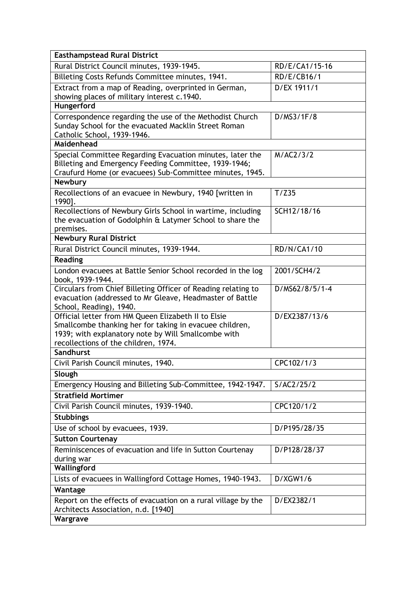| <b>Easthampstead Rural District</b>                                                                                                                                                                           |                |
|---------------------------------------------------------------------------------------------------------------------------------------------------------------------------------------------------------------|----------------|
| Rural District Council minutes, 1939-1945.                                                                                                                                                                    | RD/E/CA1/15-16 |
| Billeting Costs Refunds Committee minutes, 1941.                                                                                                                                                              | RD/E/CB16/1    |
| Extract from a map of Reading, overprinted in German,<br>showing places of military interest c.1940.                                                                                                          | D/EX 1911/1    |
| Hungerford                                                                                                                                                                                                    |                |
| Correspondence regarding the use of the Methodist Church<br>Sunday School for the evacuated Macklin Street Roman<br>Catholic School, 1939-1946.<br>Maidenhead                                                 | D/MS3/1F/8     |
| Special Committee Regarding Evacuation minutes, later the<br>Billeting and Emergency Feeding Committee, 1939-1946;<br>Craufurd Home (or evacuees) Sub-Committee minutes, 1945.<br>Newbury                     | M/AC2/3/2      |
| Recollections of an evacuee in Newbury, 1940 [written in<br>1990].                                                                                                                                            | T/Z35          |
| Recollections of Newbury Girls School in wartime, including<br>the evacuation of Godolphin & Latymer School to share the<br>premises.                                                                         | SCH12/18/16    |
| <b>Newbury Rural District</b>                                                                                                                                                                                 |                |
| Rural District Council minutes, 1939-1944.                                                                                                                                                                    | RD/N/CA1/10    |
| <b>Reading</b>                                                                                                                                                                                                |                |
| London evacuees at Battle Senior School recorded in the log<br>book, 1939-1944.                                                                                                                               | 2001/SCH4/2    |
| Circulars from Chief Billeting Officer of Reading relating to<br>evacuation (addressed to Mr Gleave, Headmaster of Battle<br>School, Reading), 1940.                                                          | D/MS62/8/5/1-4 |
| Official letter from HM Queen Elizabeth II to Elsie<br>Smallcombe thanking her for taking in evacuee children,<br>1939; with explanatory note by Will Smallcombe with<br>recollections of the children, 1974. | D/EX2387/13/6  |
| Sandhurst                                                                                                                                                                                                     |                |
| Civil Parish Council minutes, 1940.                                                                                                                                                                           | CPC102/1/3     |
| Slough                                                                                                                                                                                                        |                |
| Emergency Housing and Billeting Sub-Committee, 1942-1947.<br><b>Stratfield Mortimer</b>                                                                                                                       | S/AC2/25/2     |
| Civil Parish Council minutes, 1939-1940.                                                                                                                                                                      | CPC120/1/2     |
| <b>Stubbings</b>                                                                                                                                                                                              |                |
| Use of school by evacuees, 1939.                                                                                                                                                                              | D/P195/28/35   |
| <b>Sutton Courtenay</b>                                                                                                                                                                                       |                |
| Reminiscences of evacuation and life in Sutton Courtenay<br>during war                                                                                                                                        | D/P128/28/37   |
| Wallingford                                                                                                                                                                                                   |                |
| Lists of evacuees in Wallingford Cottage Homes, 1940-1943.                                                                                                                                                    | D/XGW1/6       |
| Wantage                                                                                                                                                                                                       |                |
| Report on the effects of evacuation on a rural village by the<br>Architects Association, n.d. [1940]                                                                                                          | D/EX2382/1     |
| Wargrave                                                                                                                                                                                                      |                |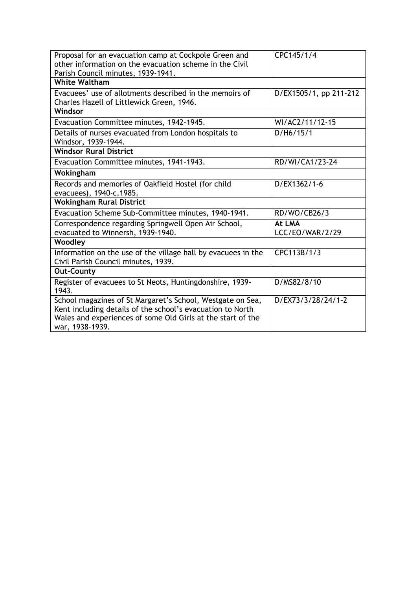| Proposal for an evacuation camp at Cockpole Green and<br>other information on the evacuation scheme in the Civil<br>Parish Council minutes, 1939-1941.                                                     | CPC145/1/4                |
|------------------------------------------------------------------------------------------------------------------------------------------------------------------------------------------------------------|---------------------------|
| <b>White Waltham</b>                                                                                                                                                                                       |                           |
| Evacuees' use of allotments described in the memoirs of<br>Charles Hazell of Littlewick Green, 1946.                                                                                                       | D/EX1505/1, pp 211-212    |
| Windsor                                                                                                                                                                                                    |                           |
| Evacuation Committee minutes, 1942-1945.                                                                                                                                                                   | WI/AC2/11/12-15           |
| Details of nurses evacuated from London hospitals to<br>Windsor, 1939-1944.                                                                                                                                | D/H6/15/1                 |
| <b>Windsor Rural District</b>                                                                                                                                                                              |                           |
| Evacuation Committee minutes, 1941-1943.                                                                                                                                                                   | RD/WI/CA1/23-24           |
| Wokingham                                                                                                                                                                                                  |                           |
| Records and memories of Oakfield Hostel (for child<br>evacuees), 1940-c.1985.                                                                                                                              | D/EX1362/1-6              |
| <b>Wokingham Rural District</b>                                                                                                                                                                            |                           |
| Evacuation Scheme Sub-Committee minutes, 1940-1941.                                                                                                                                                        | RD/WO/CB26/3              |
| Correspondence regarding Springwell Open Air School,<br>evacuated to Winnersh, 1939-1940.                                                                                                                  | At LMA<br>LCC/EO/WAR/2/29 |
| Woodley                                                                                                                                                                                                    |                           |
| Information on the use of the village hall by evacuees in the<br>Civil Parish Council minutes, 1939.                                                                                                       | CPC113B/1/3               |
| <b>Out-County</b>                                                                                                                                                                                          |                           |
| Register of evacuees to St Neots, Huntingdonshire, 1939-<br>1943.                                                                                                                                          | D/MS82/8/10               |
| School magazines of St Margaret's School, Westgate on Sea,<br>Kent including details of the school's evacuation to North<br>Wales and experiences of some Old Girls at the start of the<br>war, 1938-1939. | D/EX73/3/28/24/1-2        |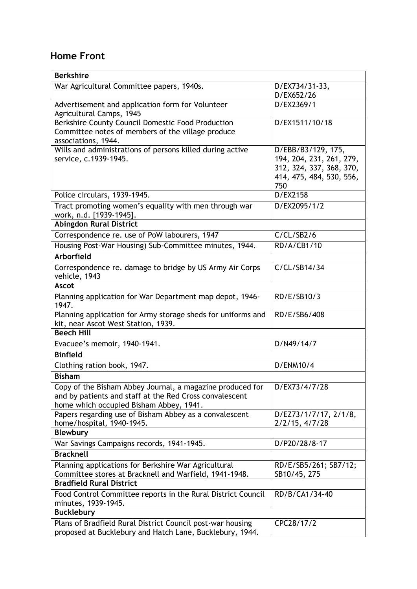### **Home Front**

| <b>Berkshire</b>                                                                                               |                                         |
|----------------------------------------------------------------------------------------------------------------|-----------------------------------------|
| War Agricultural Committee papers, 1940s.                                                                      | D/EX734/31-33,<br>D/EX652/26            |
| Advertisement and application form for Volunteer                                                               | D/EX2369/1                              |
| Agricultural Camps, 1945                                                                                       |                                         |
| Berkshire County Council Domestic Food Production                                                              | D/EX1511/10/18                          |
| Committee notes of members of the village produce<br>associations, 1944.                                       |                                         |
| Wills and administrations of persons killed during active                                                      | D/EBB/B3/129, 175,                      |
| service, c.1939-1945.                                                                                          | 194, 204, 231, 261, 279,                |
|                                                                                                                | 312, 324, 337, 368, 370,                |
|                                                                                                                | 414, 475, 484, 530, 556,                |
|                                                                                                                | 750                                     |
| Police circulars, 1939-1945.                                                                                   | D/EX2158                                |
| Tract promoting women's equality with men through war                                                          | D/EX2095/1/2                            |
| work, n.d. [1939-1945].                                                                                        |                                         |
| <b>Abingdon Rural District</b>                                                                                 |                                         |
| Correspondence re. use of PoW labourers, 1947                                                                  | C/CL/SB2/6                              |
| Housing Post-War Housing) Sub-Committee minutes, 1944.                                                         | RD/A/CB1/10                             |
| Arborfield                                                                                                     |                                         |
| Correspondence re. damage to bridge by US Army Air Corps                                                       | C/CL/SB14/34                            |
| vehicle, 1943                                                                                                  |                                         |
| <b>Ascot</b>                                                                                                   |                                         |
| Planning application for War Department map depot, 1946-<br>1947.                                              | RD/E/SB10/3                             |
| Planning application for Army storage sheds for uniforms and                                                   | RD/E/SB6/408                            |
| kit, near Ascot West Station, 1939.<br><b>Beech Hill</b>                                                       |                                         |
|                                                                                                                |                                         |
| Evacuee's memoir, 1940-1941.                                                                                   | D/N49/14/7                              |
| <b>Binfield</b>                                                                                                |                                         |
| Clothing ration book, 1947.                                                                                    | D/ENM10/4                               |
| <b>Bisham</b>                                                                                                  |                                         |
| Copy of the Bisham Abbey Journal, a magazine produced for                                                      | D/EX73/4/7/28                           |
| and by patients and staff at the Red Cross convalescent                                                        |                                         |
| home which occupied Bisham Abbey, 1941.                                                                        |                                         |
| Papers regarding use of Bisham Abbey as a convalescent<br>home/hospital, 1940-1945.                            | D/EZ73/1/7/17, 2/1/8,<br>2/2/15, 4/7/28 |
| <b>Blewbury</b>                                                                                                |                                         |
| War Savings Campaigns records, 1941-1945.                                                                      | D/P20/28/8-17                           |
| <b>Bracknell</b>                                                                                               |                                         |
|                                                                                                                |                                         |
| Planning applications for Berkshire War Agricultural<br>Committee stores at Bracknell and Warfield, 1941-1948. | RD/E/SB5/261; SB7/12;<br>SB10/45, 275   |
| <b>Bradfield Rural District</b>                                                                                |                                         |
| Food Control Committee reports in the Rural District Council                                                   | RD/B/CA1/34-40                          |
| minutes, 1939-1945.                                                                                            |                                         |
| <b>Bucklebury</b>                                                                                              |                                         |
| Plans of Bradfield Rural District Council post-war housing                                                     | CPC28/17/2                              |
| proposed at Bucklebury and Hatch Lane, Bucklebury, 1944.                                                       |                                         |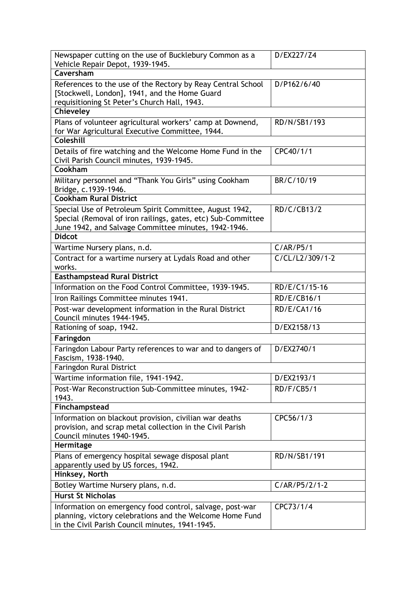| Newspaper cutting on the use of Bucklebury Common as a<br>Vehicle Repair Depot, 1939-1945.                                                                                      | D/EX227/Z4                   |
|---------------------------------------------------------------------------------------------------------------------------------------------------------------------------------|------------------------------|
| Caversham                                                                                                                                                                       |                              |
| References to the use of the Rectory by Reay Central School<br>[Stockwell, London], 1941, and the Home Guard<br>requisitioning St Peter's Church Hall, 1943.                    | D/P162/6/40                  |
| Chieveley                                                                                                                                                                       |                              |
| Plans of volunteer agricultural workers' camp at Downend,<br>for War Agricultural Executive Committee, 1944.                                                                    | RD/N/SB1/193                 |
| Coleshill                                                                                                                                                                       |                              |
| Details of fire watching and the Welcome Home Fund in the<br>Civil Parish Council minutes, 1939-1945.                                                                           | CPC40/1/1                    |
| Cookham                                                                                                                                                                         |                              |
| Military personnel and "Thank You Girls" using Cookham<br>Bridge, c.1939-1946.                                                                                                  | BR/C/10/19                   |
| <b>Cookham Rural District</b>                                                                                                                                                   |                              |
| Special Use of Petroleum Spirit Committee, August 1942,<br>Special (Removal of iron railings, gates, etc) Sub-Committee<br>June 1942, and Salvage Committee minutes, 1942-1946. | RD/C/CB13/2                  |
| <b>Didcot</b>                                                                                                                                                                   |                              |
| Wartime Nursery plans, n.d.                                                                                                                                                     | C/AR/P5/1                    |
| Contract for a wartime nursery at Lydals Road and other<br>works.                                                                                                               | $\overline{C/CL/L2/309/1-2}$ |
| <b>Easthampstead Rural District</b>                                                                                                                                             |                              |
| Information on the Food Control Committee, 1939-1945.                                                                                                                           | RD/E/C1/15-16                |
| Iron Railings Committee minutes 1941.                                                                                                                                           | RD/E/CB16/1                  |
| Post-war development information in the Rural District<br>Council minutes 1944-1945.                                                                                            | RD/E/CA1/16                  |
| Rationing of soap, 1942.                                                                                                                                                        | D/EX2158/13                  |
| Faringdon                                                                                                                                                                       |                              |
| Faringdon Labour Party references to war and to dangers of<br>Fascism, 1938-1940.                                                                                               | D/EX2740/1                   |
| Faringdon Rural District                                                                                                                                                        |                              |
| Wartime information file, 1941-1942.                                                                                                                                            | D/EX2193/1                   |
| Post-War Reconstruction Sub-Committee minutes, 1942-<br>1943.                                                                                                                   | <b>RD/F/CB5/1</b>            |
| Finchampstead                                                                                                                                                                   |                              |
| Information on blackout provision, civilian war deaths<br>provision, and scrap metal collection in the Civil Parish<br>Council minutes 1940-1945.                               | CPC56/1/3                    |
| Hermitage                                                                                                                                                                       |                              |
| Plans of emergency hospital sewage disposal plant<br>apparently used by US forces, 1942.                                                                                        | RD/N/SB1/191                 |
| Hinksey, North                                                                                                                                                                  |                              |
| Botley Wartime Nursery plans, n.d.                                                                                                                                              | $C/AR/P5/2/1-2$              |
| <b>Hurst St Nicholas</b>                                                                                                                                                        |                              |
| Information on emergency food control, salvage, post-war<br>planning, victory celebrations and the Welcome Home Fund<br>in the Civil Parish Council minutes, 1941-1945.         | CPC73/1/4                    |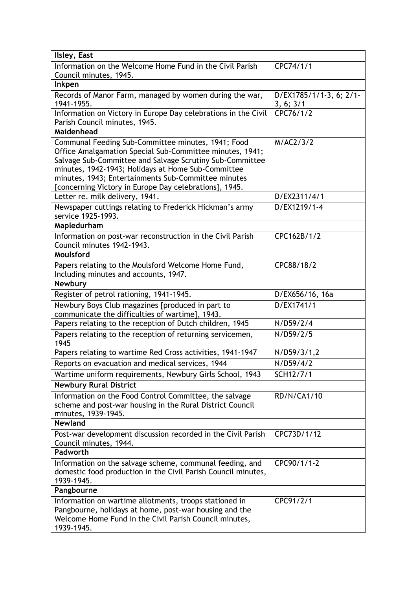| Ilsley, East                                                                                                                                                                                                                                                                                                                                      |                                      |
|---------------------------------------------------------------------------------------------------------------------------------------------------------------------------------------------------------------------------------------------------------------------------------------------------------------------------------------------------|--------------------------------------|
| Information on the Welcome Home Fund in the Civil Parish<br>Council minutes, 1945.                                                                                                                                                                                                                                                                | CPC74/1/1                            |
| Inkpen                                                                                                                                                                                                                                                                                                                                            |                                      |
| Records of Manor Farm, managed by women during the war,<br>1941-1955.                                                                                                                                                                                                                                                                             | D/EX1785/1/1-3, 6; 2/1-<br>3, 6; 3/1 |
| Information on Victory in Europe Day celebrations in the Civil<br>Parish Council minutes, 1945.                                                                                                                                                                                                                                                   | CFC76/1/2                            |
| <b>Maidenhead</b>                                                                                                                                                                                                                                                                                                                                 |                                      |
| Communal Feeding Sub-Committee minutes, 1941; Food<br>Office Amalgamation Special Sub-Committee minutes, 1941;<br>Salvage Sub-Committee and Salvage Scrutiny Sub-Committee<br>minutes, 1942-1943; Holidays at Home Sub-Committee<br>minutes, 1943; Entertainments Sub-Committee minutes<br>[concerning Victory in Europe Day celebrations], 1945. | M/AC2/3/2                            |
| Letter re. milk delivery, 1941.                                                                                                                                                                                                                                                                                                                   | D/EX2311/4/1                         |
| Newspaper cuttings relating to Frederick Hickman's army<br>service 1925-1993.                                                                                                                                                                                                                                                                     | D/EX1219/1-4                         |
| Mapledurham                                                                                                                                                                                                                                                                                                                                       |                                      |
| Information on post-war reconstruction in the Civil Parish<br>Council minutes 1942-1943.                                                                                                                                                                                                                                                          | CPC162B/1/2                          |
| Moulsford                                                                                                                                                                                                                                                                                                                                         |                                      |
| Papers relating to the Moulsford Welcome Home Fund,<br>Including minutes and accounts, 1947.                                                                                                                                                                                                                                                      | CPC88/18/2                           |
| Newbury                                                                                                                                                                                                                                                                                                                                           |                                      |
| Register of petrol rationing, 1941-1945.                                                                                                                                                                                                                                                                                                          | D/EX656/16, 16a                      |
| Newbury Boys Club magazines [produced in part to<br>communicate the difficulties of wartime], 1943.                                                                                                                                                                                                                                               | D/EX1741/1                           |
| Papers relating to the reception of Dutch children, 1945                                                                                                                                                                                                                                                                                          | N/D59/2/4                            |
| Papers relating to the reception of returning servicemen,<br>1945                                                                                                                                                                                                                                                                                 | N/D59/2/5                            |
| Papers relating to wartime Red Cross activities, 1941-1947                                                                                                                                                                                                                                                                                        | N/D59/3/1,2                          |
| Reports on evacuation and medical services, 1944                                                                                                                                                                                                                                                                                                  | N/D59/4/2                            |
| Wartime uniform requirements, Newbury Girls School, 1943                                                                                                                                                                                                                                                                                          | SCH12/7/1                            |
| <b>Newbury Rural District</b>                                                                                                                                                                                                                                                                                                                     |                                      |
| Information on the Food Control Committee, the salvage<br>scheme and post-war housing in the Rural District Council<br>minutes, 1939-1945.                                                                                                                                                                                                        | RD/N/CA1/10                          |
| <b>Newland</b>                                                                                                                                                                                                                                                                                                                                    |                                      |
| Post-war development discussion recorded in the Civil Parish<br>Council minutes, 1944.                                                                                                                                                                                                                                                            | CPC73D/1/12                          |
| Padworth                                                                                                                                                                                                                                                                                                                                          |                                      |
| Information on the salvage scheme, communal feeding, and<br>domestic food production in the Civil Parish Council minutes,<br>1939-1945.                                                                                                                                                                                                           | CPC90/1/1-2                          |
| Pangbourne                                                                                                                                                                                                                                                                                                                                        |                                      |
| Information on wartime allotments, troops stationed in<br>Pangbourne, holidays at home, post-war housing and the<br>Welcome Home Fund in the Civil Parish Council minutes,<br>1939-1945.                                                                                                                                                          | CPC91/2/1                            |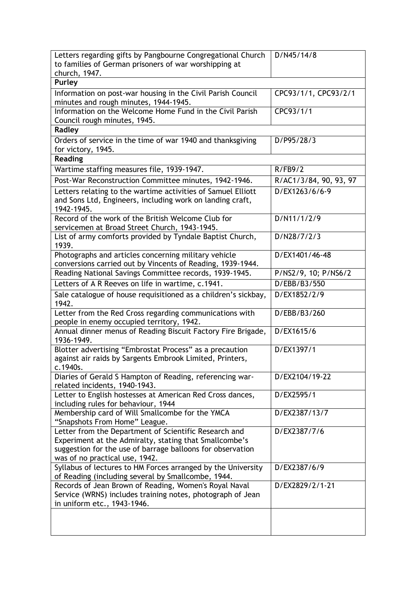| Letters regarding gifts by Pangbourne Congregational Church<br>to families of German prisoners of war worshipping at<br>church, 1947.                                                                           | D/N45/14/8             |
|-----------------------------------------------------------------------------------------------------------------------------------------------------------------------------------------------------------------|------------------------|
| Purley                                                                                                                                                                                                          |                        |
| Information on post-war housing in the Civil Parish Council<br>minutes and rough minutes, 1944-1945.                                                                                                            | CPC93/1/1, CPC93/2/1   |
| Information on the Welcome Home Fund in the Civil Parish<br>Council rough minutes, 1945.                                                                                                                        | CPC93/1/1              |
| Radley                                                                                                                                                                                                          |                        |
| Orders of service in the time of war 1940 and thanksgiving<br>for victory, 1945.                                                                                                                                | D/P95/28/3             |
| <b>Reading</b>                                                                                                                                                                                                  |                        |
| Wartime staffing measures file, 1939-1947.                                                                                                                                                                      | R/FB9/2                |
| Post-War Reconstruction Committee minutes, 1942-1946.                                                                                                                                                           | R/AC1/3/84, 90, 93, 97 |
| Letters relating to the wartime activities of Samuel Elliott<br>and Sons Ltd, Engineers, including work on landing craft,<br>1942-1945.                                                                         | D/EX1263/6/6-9         |
| Record of the work of the British Welcome Club for<br>servicemen at Broad Street Church, 1943-1945.                                                                                                             | D/N11/1/2/9            |
| List of army comforts provided by Tyndale Baptist Church,<br>1939.                                                                                                                                              | D/N28/7/2/3            |
| Photographs and articles concerning military vehicle<br>conversions carried out by Vincents of Reading, 1939-1944.                                                                                              | D/EX1401/46-48         |
| Reading National Savings Committee records, 1939-1945.                                                                                                                                                          | P/NS2/9, 10; P/NS6/2   |
| Letters of A R Reeves on life in wartime, c.1941.                                                                                                                                                               | D/EBB/B3/550           |
| Sale catalogue of house requisitioned as a children's sickbay,<br>1942.                                                                                                                                         | D/EX1852/2/9           |
| Letter from the Red Cross regarding communications with<br>people in enemy occupied territory, 1942.                                                                                                            | D/EBB/B3/260           |
| Annual dinner menus of Reading Biscuit Factory Fire Brigade,<br>1936-1949.                                                                                                                                      | D/EX1615/6             |
| Blotter advertising "Embrostat Process" as a precaution<br>against air raids by Sargents Embrook Limited, Printers,<br>c.1940s.                                                                                 | D/EX1397/1             |
| Diaries of Gerald S Hampton of Reading, referencing war-<br>related incidents, 1940-1943.                                                                                                                       | D/EX2104/19-22         |
| Letter to English hostesses at American Red Cross dances,<br>including rules for behaviour, 1944                                                                                                                | D/EX2595/1             |
| Membership card of Will Smallcombe for the YMCA<br>"Snapshots From Home" League.                                                                                                                                | D/EX2387/13/7          |
| Letter from the Department of Scientific Research and<br>Experiment at the Admiralty, stating that Smallcombe's<br>suggestion for the use of barrage balloons for observation<br>was of no practical use, 1942. | D/EX2387/7/6           |
| Syllabus of lectures to HM Forces arranged by the University<br>of Reading (including several by Smallcombe, 1944.                                                                                              | D/EX2387/6/9           |
| Records of Jean Brown of Reading, Women's Royal Naval<br>Service (WRNS) includes training notes, photograph of Jean<br>in uniform etc., 1943-1946.                                                              | D/EX2829/2/1-21        |
|                                                                                                                                                                                                                 |                        |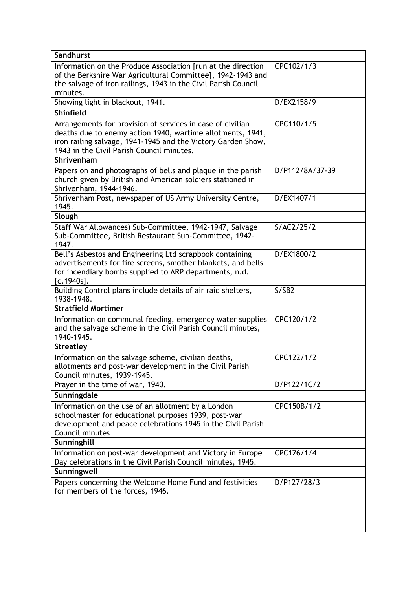| Sandhurst                                                                                                                                                                                                 |                 |
|-----------------------------------------------------------------------------------------------------------------------------------------------------------------------------------------------------------|-----------------|
| Information on the Produce Association [run at the direction<br>of the Berkshire War Agricultural Committee], 1942-1943 and<br>the salvage of iron railings, 1943 in the Civil Parish Council<br>minutes. | CPC102/1/3      |
| Showing light in blackout, 1941.                                                                                                                                                                          | D/EX2158/9      |
| <b>Shinfield</b>                                                                                                                                                                                          |                 |
| Arrangements for provision of services in case of civilian                                                                                                                                                | CPC110/1/5      |
| deaths due to enemy action 1940, wartime allotments, 1941,<br>iron railing salvage, 1941-1945 and the Victory Garden Show,<br>1943 in the Civil Parish Council minutes.                                   |                 |
| Shrivenham                                                                                                                                                                                                |                 |
| Papers on and photographs of bells and plaque in the parish<br>church given by British and American soldiers stationed in<br>Shrivenham, 1944-1946.                                                       | D/P112/8A/37-39 |
| Shrivenham Post, newspaper of US Army University Centre,<br>1945.                                                                                                                                         | D/EX1407/1      |
| Slough                                                                                                                                                                                                    |                 |
| Staff War Allowances) Sub-Committee, 1942-1947, Salvage<br>Sub-Committee, British Restaurant Sub-Committee, 1942-<br>1947.                                                                                | S/AC2/25/2      |
| Bell's Asbestos and Engineering Ltd scrapbook containing<br>advertisements for fire screens, smother blankets, and bells<br>for incendiary bombs supplied to ARP departments, n.d.<br>$[c.1940s]$ .       | D/EX1800/2      |
| Building Control plans include details of air raid shelters,<br>1938-1948.                                                                                                                                | S/SB2           |
| <b>Stratfield Mortimer</b>                                                                                                                                                                                |                 |
| Information on communal feeding, emergency water supplies<br>and the salvage scheme in the Civil Parish Council minutes,<br>1940-1945.                                                                    | CPC120/1/2      |
| <b>Streatley</b>                                                                                                                                                                                          |                 |
| Information on the salvage scheme, civilian deaths,<br>allotments and post-war development in the Civil Parish<br>Council minutes, 1939-1945.                                                             | CPC122/1/2      |
| Prayer in the time of war, 1940.                                                                                                                                                                          | D/P122/1C/2     |
| Sunningdale                                                                                                                                                                                               |                 |
| Information on the use of an allotment by a London<br>schoolmaster for educational purposes 1939, post-war<br>development and peace celebrations 1945 in the Civil Parish<br>Council minutes              | CPC150B/1/2     |
| Sunninghill                                                                                                                                                                                               |                 |
| Information on post-war development and Victory in Europe<br>Day celebrations in the Civil Parish Council minutes, 1945.                                                                                  | CPC126/1/4      |
| Sunningwell                                                                                                                                                                                               |                 |
| Papers concerning the Welcome Home Fund and festivities<br>for members of the forces, 1946.                                                                                                               | D/P127/28/3     |
|                                                                                                                                                                                                           |                 |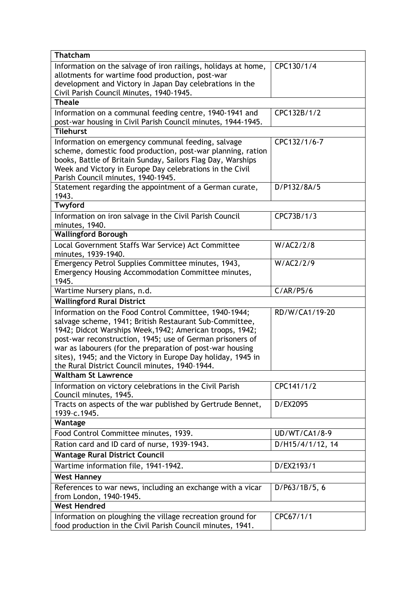| <b>Thatcham</b>                                                                                                                                                                |                      |
|--------------------------------------------------------------------------------------------------------------------------------------------------------------------------------|----------------------|
| Information on the salvage of iron railings, holidays at home,<br>allotments for wartime food production, post-war<br>development and Victory in Japan Day celebrations in the | CPC130/1/4           |
| Civil Parish Council Minutes, 1940-1945.                                                                                                                                       |                      |
| <b>Theale</b>                                                                                                                                                                  |                      |
| Information on a communal feeding centre, 1940-1941 and                                                                                                                        | CPC132B/1/2          |
| post-war housing in Civil Parish Council minutes, 1944-1945.                                                                                                                   |                      |
| <b>Tilehurst</b>                                                                                                                                                               |                      |
| Information on emergency communal feeding, salvage                                                                                                                             | CPC132/1/6-7         |
| scheme, domestic food production, post-war planning, ration                                                                                                                    |                      |
| books, Battle of Britain Sunday, Sailors Flag Day, Warships<br>Week and Victory in Europe Day celebrations in the Civil                                                        |                      |
| Parish Council minutes, 1940-1945.                                                                                                                                             |                      |
| Statement regarding the appointment of a German curate,                                                                                                                        | D/P132/8A/5          |
| 1943.                                                                                                                                                                          |                      |
| <b>Twyford</b>                                                                                                                                                                 |                      |
| Information on iron salvage in the Civil Parish Council                                                                                                                        | CPC73B/1/3           |
| minutes, 1940.                                                                                                                                                                 |                      |
| <b>Wallingford Borough</b>                                                                                                                                                     |                      |
| Local Government Staffs War Service) Act Committee                                                                                                                             | W/AC2/2/8            |
| minutes, 1939-1940.                                                                                                                                                            |                      |
| Emergency Petrol Supplies Committee minutes, 1943,<br>Emergency Housing Accommodation Committee minutes,                                                                       | W/AC2/2/9            |
| 1945.                                                                                                                                                                          |                      |
| Wartime Nursery plans, n.d.                                                                                                                                                    | C/AR/P5/6            |
| <b>Wallingford Rural District</b>                                                                                                                                              |                      |
| Information on the Food Control Committee, 1940-1944;                                                                                                                          | RD/W/CA1/19-20       |
| salvage scheme, 1941; British Restaurant Sub-Committee,                                                                                                                        |                      |
| 1942; Didcot Warships Week, 1942; American troops, 1942;                                                                                                                       |                      |
| post-war reconstruction, 1945; use of German prisoners of                                                                                                                      |                      |
| war as labourers (for the preparation of post-war housing                                                                                                                      |                      |
| sites), 1945; and the Victory in Europe Day holiday, 1945 in<br>the Rural District Council minutes, 1940-1944.                                                                 |                      |
| <b>Waltham St Lawrence</b>                                                                                                                                                     |                      |
| Information on victory celebrations in the Civil Parish                                                                                                                        | CPC141/1/2           |
| Council minutes, 1945.                                                                                                                                                         |                      |
| Tracts on aspects of the war published by Gertrude Bennet,                                                                                                                     | D/EX2095             |
| 1939-c.1945.                                                                                                                                                                   |                      |
| Wantage                                                                                                                                                                        |                      |
| Food Control Committee minutes, 1939.                                                                                                                                          | <b>UD/WT/CA1/8-9</b> |
| Ration card and ID card of nurse, 1939-1943.                                                                                                                                   | D/H15/4/1/12, 14     |
| <b>Wantage Rural District Council</b>                                                                                                                                          |                      |
| Wartime information file, 1941-1942.                                                                                                                                           | D/EX2193/1           |
| <b>West Hanney</b>                                                                                                                                                             |                      |
| References to war news, including an exchange with a vicar                                                                                                                     | D/P63/1B/5, 6        |
| from London, 1940-1945.                                                                                                                                                        |                      |
| <b>West Hendred</b>                                                                                                                                                            |                      |
| Information on ploughing the village recreation ground for                                                                                                                     | CPC67/1/1            |
| food production in the Civil Parish Council minutes, 1941.                                                                                                                     |                      |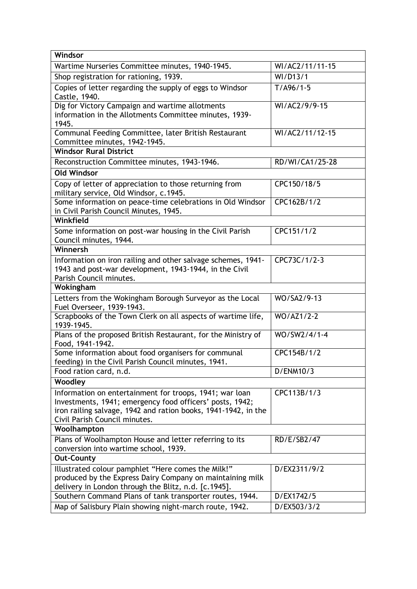| Windsor                                                                                                                                                                                                                |                         |
|------------------------------------------------------------------------------------------------------------------------------------------------------------------------------------------------------------------------|-------------------------|
| Wartime Nurseries Committee minutes, 1940-1945.                                                                                                                                                                        | WI/AC2/11/11-15         |
| Shop registration for rationing, 1939.                                                                                                                                                                                 | WI/D13/1                |
| Copies of letter regarding the supply of eggs to Windsor<br>Castle, 1940.                                                                                                                                              | $T/496/1-5$             |
| Dig for Victory Campaign and wartime allotments<br>information in the Allotments Committee minutes, 1939-<br>1945.                                                                                                     | WI/AC2/9/9-15           |
| Communal Feeding Committee, later British Restaurant<br>Committee minutes, 1942-1945.                                                                                                                                  | WI/AC2/11/12-15         |
| <b>Windsor Rural District</b>                                                                                                                                                                                          |                         |
| Reconstruction Committee minutes, 1943-1946.                                                                                                                                                                           | RD/WI/CA1/25-28         |
| <b>Old Windsor</b>                                                                                                                                                                                                     |                         |
| Copy of letter of appreciation to those returning from<br>military service, Old Windsor, c.1945.                                                                                                                       | CPC150/18/5             |
| Some information on peace-time celebrations in Old Windsor<br>in Civil Parish Council Minutes, 1945.                                                                                                                   | CPC162B/1/2             |
| Winkfield                                                                                                                                                                                                              |                         |
| Some information on post-war housing in the Civil Parish<br>Council minutes, 1944.                                                                                                                                     | CPC151/1/2              |
| Winnersh                                                                                                                                                                                                               |                         |
| Information on iron railing and other salvage schemes, 1941-<br>1943 and post-war development, 1943-1944, in the Civil<br>Parish Council minutes.                                                                      | CPC73C/1/2-3            |
| Wokingham                                                                                                                                                                                                              |                         |
| Letters from the Wokingham Borough Surveyor as the Local<br>Fuel Overseer, 1939-1943.                                                                                                                                  | WO/SA2/9-13             |
| Scrapbooks of the Town Clerk on all aspects of wartime life,<br>1939-1945.                                                                                                                                             | $\overline{WO}/AZ1/2-2$ |
| Plans of the proposed British Restaurant, for the Ministry of<br>Food, 1941-1942.                                                                                                                                      | WO/SW2/4/1-4            |
| Some information about food organisers for communal<br>feeding) in the Civil Parish Council minutes, 1941.                                                                                                             | CPC154B/1/2             |
| Food ration card, n.d.                                                                                                                                                                                                 | D/ENM10/3               |
| Woodley                                                                                                                                                                                                                |                         |
| Information on entertainment for troops, 1941; war loan<br>Investments, 1941; emergency food officers' posts, 1942;<br>iron railing salvage, 1942 and ration books, 1941-1942, in the<br>Civil Parish Council minutes. | CPC113B/1/3             |
| Woolhampton                                                                                                                                                                                                            |                         |
| Plans of Woolhampton House and letter referring to its<br>conversion into wartime school, 1939.                                                                                                                        | RD/E/SB2/47             |
| <b>Out-County</b>                                                                                                                                                                                                      |                         |
| Illustrated colour pamphlet "Here comes the Milk!"<br>produced by the Express Dairy Company on maintaining milk<br>delivery in London through the Blitz, n.d. [c.1945].                                                | D/EX2311/9/2            |
| Southern Command Plans of tank transporter routes, 1944.                                                                                                                                                               | D/EX1742/5              |
| Map of Salisbury Plain showing night-march route, 1942.                                                                                                                                                                | D/EX503/3/2             |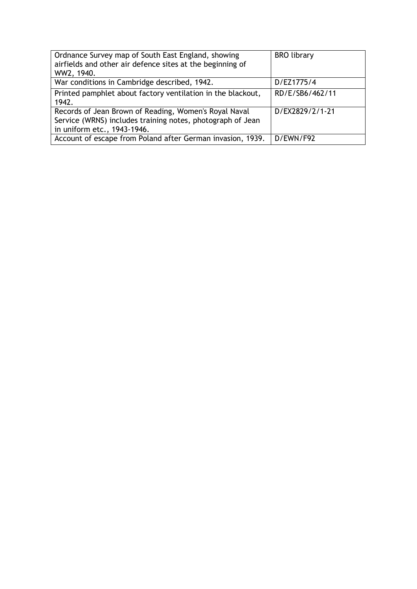| Ordnance Survey map of South East England, showing<br>airfields and other air defence sites at the beginning of<br>WW2, 1940.                      | <b>BRO</b> library |
|----------------------------------------------------------------------------------------------------------------------------------------------------|--------------------|
| War conditions in Cambridge described, 1942.                                                                                                       | D/EZ1775/4         |
| Printed pamphlet about factory ventilation in the blackout,<br>1942.                                                                               | RD/E/SB6/462/11    |
| Records of Jean Brown of Reading, Women's Royal Naval<br>Service (WRNS) includes training notes, photograph of Jean<br>in uniform etc., 1943-1946. | D/EX2829/2/1-21    |
| Account of escape from Poland after German invasion, 1939.                                                                                         | D/FWN/F92          |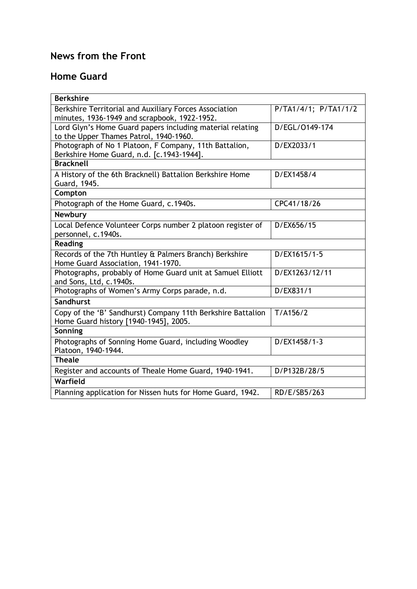## **News from the Front**

### **Home Guard**

| <b>Berkshire</b>                                            |                      |
|-------------------------------------------------------------|----------------------|
| Berkshire Territorial and Auxiliary Forces Association      | P/TA1/4/1; P/TA1/1/2 |
| minutes, 1936-1949 and scrapbook, 1922-1952.                |                      |
| Lord Glyn's Home Guard papers including material relating   | D/EGL/0149-174       |
| to the Upper Thames Patrol, 1940-1960.                      |                      |
| Photograph of No 1 Platoon, F Company, 11th Battalion,      | D/EX2033/1           |
| Berkshire Home Guard, n.d. [c.1943-1944].                   |                      |
| <b>Bracknell</b>                                            |                      |
| A History of the 6th Bracknell) Battalion Berkshire Home    | D/EX1458/4           |
| Guard, 1945.                                                |                      |
| Compton                                                     |                      |
| Photograph of the Home Guard, c.1940s.                      | CPC41/18/26          |
| Newbury                                                     |                      |
| Local Defence Volunteer Corps number 2 platoon register of  | D/EX656/15           |
| personnel, c.1940s.                                         |                      |
| <b>Reading</b>                                              |                      |
| Records of the 7th Huntley & Palmers Branch) Berkshire      | D/EX1615/1-5         |
| Home Guard Association, 1941-1970.                          |                      |
| Photographs, probably of Home Guard unit at Samuel Elliott  | D/EX1263/12/11       |
| and Sons, Ltd, c.1940s.                                     |                      |
| Photographs of Women's Army Corps parade, n.d.              | D/EX831/1            |
| Sandhurst                                                   |                      |
| Copy of the 'B' Sandhurst) Company 11th Berkshire Battalion | T/A156/2             |
| Home Guard history [1940-1945], 2005.                       |                      |
| Sonning                                                     |                      |
| Photographs of Sonning Home Guard, including Woodley        | D/EX1458/1-3         |
| Platoon, 1940-1944.                                         |                      |
| <b>Theale</b>                                               |                      |
| Register and accounts of Theale Home Guard, 1940-1941.      | D/P132B/28/5         |
| Warfield                                                    |                      |
| Planning application for Nissen huts for Home Guard, 1942.  | RD/E/SB5/263         |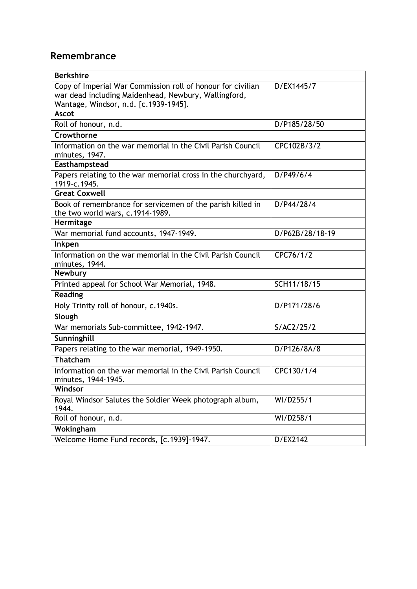## **Remembrance**

| <b>Berkshire</b>                                                                                                                                             |                 |
|--------------------------------------------------------------------------------------------------------------------------------------------------------------|-----------------|
| Copy of Imperial War Commission roll of honour for civilian<br>war dead including Maidenhead, Newbury, Wallingford,<br>Wantage, Windsor, n.d. [c.1939-1945]. | D/EX1445/7      |
| <b>Ascot</b>                                                                                                                                                 |                 |
| Roll of honour, n.d.                                                                                                                                         | D/P185/28/50    |
| Crowthorne                                                                                                                                                   |                 |
| Information on the war memorial in the Civil Parish Council<br>minutes, 1947.                                                                                | CPC102B/3/2     |
| Easthampstead                                                                                                                                                |                 |
| Papers relating to the war memorial cross in the churchyard,<br>1919-c.1945.                                                                                 | D/P49/6/4       |
| <b>Great Coxwell</b>                                                                                                                                         |                 |
| Book of remembrance for servicemen of the parish killed in<br>the two world wars, c.1914-1989.                                                               | D/P44/28/4      |
| Hermitage                                                                                                                                                    |                 |
| War memorial fund accounts, 1947-1949.                                                                                                                       | D/P62B/28/18-19 |
| Inkpen                                                                                                                                                       |                 |
| Information on the war memorial in the Civil Parish Council<br>minutes, 1944.                                                                                | CPC76/1/2       |
| <b>Newbury</b>                                                                                                                                               |                 |
| Printed appeal for School War Memorial, 1948.                                                                                                                | SCH11/18/15     |
| <b>Reading</b>                                                                                                                                               |                 |
| Holy Trinity roll of honour, c.1940s.                                                                                                                        | D/P171/28/6     |
| Slough                                                                                                                                                       |                 |
| War memorials Sub-committee, 1942-1947.                                                                                                                      | S/AC2/25/2      |
| Sunninghill                                                                                                                                                  |                 |
| Papers relating to the war memorial, 1949-1950.                                                                                                              | D/P126/8A/8     |
| <b>Thatcham</b>                                                                                                                                              |                 |
| Information on the war memorial in the Civil Parish Council<br>minutes, 1944-1945.                                                                           | CPC130/1/4      |
| Windsor                                                                                                                                                      |                 |
| Royal Windsor Salutes the Soldier Week photograph album,<br>1944.                                                                                            | WI/D255/1       |
| Roll of honour, n.d.                                                                                                                                         | WI/D258/1       |
| Wokingham                                                                                                                                                    |                 |
| Welcome Home Fund records, [c.1939]-1947.                                                                                                                    | D/EX2142        |